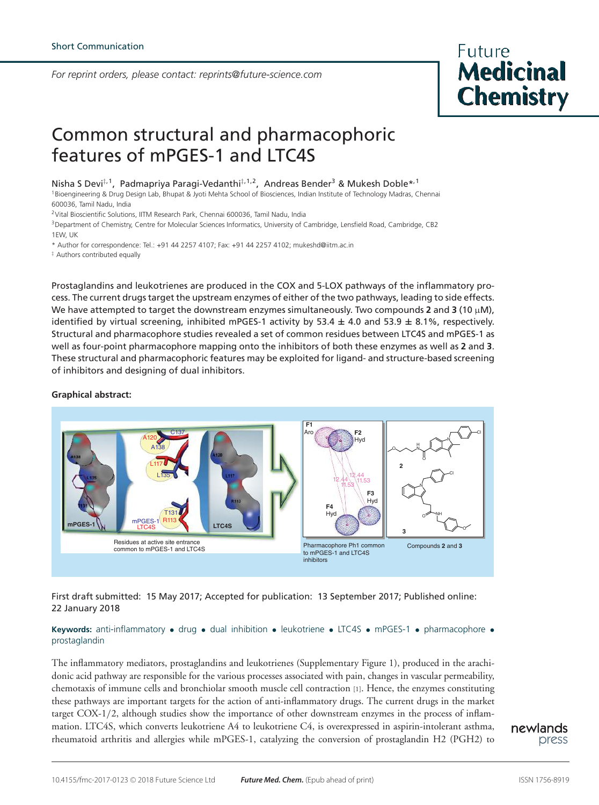*For reprint orders, please contact: reprints@future-science.com*



# Common structural and pharmacophoric features of mPGES-1 and LTC4S

Nisha S Devi<sup>‡, 1</sup>, Padmapriya Paragi-Vedanthi<sup>‡, 1, 2</sup>, Andreas Bender<sup>3</sup> & Mukesh Doble\*<sup>, 1</sup>

<sup>1</sup>Bioengineering & Drug Design Lab, Bhupat & Jyoti Mehta School of Biosciences, Indian Institute of Technology Madras, Chennai 600036, Tamil Nadu, India

<sup>2</sup>Vital Bioscientific Solutions, IITM Research Park, Chennai 600036, Tamil Nadu, India

<sup>3</sup>Department of Chemistry, Centre for Molecular Sciences Informatics, University of Cambridge, Lensfield Road, Cambridge, CB2 1EW, UK

\* Author for correspondence: Tel.: +91 44 2257 4107; Fax: +91 44 2257 4102; mukeshd@iitm.ac.in

‡ Authors contributed equally

Prostaglandins and leukotrienes are produced in the COX and 5-LOX pathways of the inflammatory process. The current drugs target the upstream enzymes of either of the two pathways, leading to side effects. We have attempted to target the downstream enzymes simultaneously. Two compounds 2 and 3 (10  $\mu$ M), identified by virtual screening, inhibited mPGES-1 activity by 53.4  $\pm$  4.0 and 53.9  $\pm$  8.1%, respectively. Structural and pharmacophore studies revealed a set of common residues between LTC4S and mPGES-1 as well as four-point pharmacophore mapping onto the inhibitors of both these enzymes as well as **2** and **3**. These structural and pharmacophoric features may be exploited for ligand- and structure-based screening of inhibitors and designing of dual inhibitors.

## **Graphical abstract:**



First draft submitted: 15 May 2017; Accepted for publication: 13 September 2017; Published online: 22 January 2018

# **Keywords:** anti-inflammatory • drug • dual inhibition • leukotriene • LTC4S • mPGES-1 • pharmacophore • prostaglandin

The inflammatory mediators, prostaglandins and leukotrienes (Supplementary Figure 1), produced in the arachidonic acid pathway are responsible for the various processes associated with pain, changes in vascular permeability, chemotaxis of immune cells and bronchiolar smooth muscle cell contraction [1]. Hence, the enzymes constituting these pathways are important targets for the action of anti-inflammatory drugs. The current drugs in the market target COX-1/2, although studies show the importance of other downstream enzymes in the process of inflammation. LTC4S, which converts leukotriene A4 to leukotriene C4, is overexpressed in aspirin-intolerant asthma, rheumatoid arthritis and allergies while mPGES-1, catalyzing the conversion of prostaglandin H2 (PGH2) to

newlands press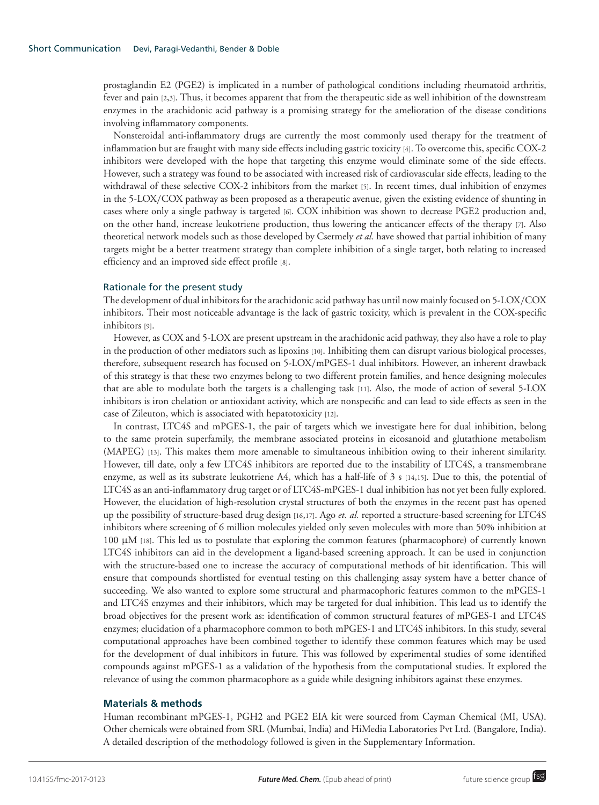prostaglandin E2 (PGE2) is implicated in a number of pathological conditions including rheumatoid arthritis, fever and pain [2,3]. Thus, it becomes apparent that from the therapeutic side as well inhibition of the downstream enzymes in the arachidonic acid pathway is a promising strategy for the amelioration of the disease conditions involving inflammatory components.

Nonsteroidal anti-inflammatory drugs are currently the most commonly used therapy for the treatment of inflammation but are fraught with many side effects including gastric toxicity [4]. To overcome this, specific COX-2 inhibitors were developed with the hope that targeting this enzyme would eliminate some of the side effects. However, such a strategy was found to be associated with increased risk of cardiovascular side effects, leading to the withdrawal of these selective COX-2 inhibitors from the market [5]. In recent times, dual inhibition of enzymes in the 5-LOX/COX pathway as been proposed as a therapeutic avenue, given the existing evidence of shunting in cases where only a single pathway is targeted [6]. COX inhibition was shown to decrease PGE2 production and, on the other hand, increase leukotriene production, thus lowering the anticancer effects of the therapy [7]. Also theoretical network models such as those developed by Csermely *et al.* have showed that partial inhibition of many targets might be a better treatment strategy than complete inhibition of a single target, both relating to increased efficiency and an improved side effect profile [8].

## Rationale for the present study

The development of dual inhibitors for the arachidonic acid pathway has until now mainly focused on 5-LOX/COX inhibitors. Their most noticeable advantage is the lack of gastric toxicity, which is prevalent in the COX-specific inhibitors [9].

However, as COX and 5-LOX are present upstream in the arachidonic acid pathway, they also have a role to play in the production of other mediators such as lipoxins [10]. Inhibiting them can disrupt various biological processes, therefore, subsequent research has focused on 5-LOX/mPGES-1 dual inhibitors. However, an inherent drawback of this strategy is that these two enzymes belong to two different protein families, and hence designing molecules that are able to modulate both the targets is a challenging task [11]. Also, the mode of action of several 5-LOX inhibitors is iron chelation or antioxidant activity, which are nonspecific and can lead to side effects as seen in the case of Zileuton, which is associated with hepatotoxicity [12].

In contrast, LTC4S and mPGES-1, the pair of targets which we investigate here for dual inhibition, belong to the same protein superfamily, the membrane associated proteins in eicosanoid and glutathione metabolism (MAPEG) [13]. This makes them more amenable to simultaneous inhibition owing to their inherent similarity. However, till date, only a few LTC4S inhibitors are reported due to the instability of LTC4S, a transmembrane enzyme, as well as its substrate leukotriene A4, which has a half-life of  $\beta$  s [14,15]. Due to this, the potential of LTC4S as an anti-inflammatory drug target or of LTC4S-mPGES-1 dual inhibition has not yet been fully explored. However, the elucidation of high-resolution crystal structures of both the enzymes in the recent past has opened up the possibility of structure-based drug design [16,17]. Ago *et. al.* reported a structure-based screening for LTC4S inhibitors where screening of 6 million molecules yielded only seven molecules with more than 50% inhibition at 100 µM [18]. This led us to postulate that exploring the common features (pharmacophore) of currently known LTC4S inhibitors can aid in the development a ligand-based screening approach. It can be used in conjunction with the structure-based one to increase the accuracy of computational methods of hit identification. This will ensure that compounds shortlisted for eventual testing on this challenging assay system have a better chance of succeeding. We also wanted to explore some structural and pharmacophoric features common to the mPGES-1 and LTC4S enzymes and their inhibitors, which may be targeted for dual inhibition. This lead us to identify the broad objectives for the present work as: identification of common structural features of mPGES-1 and LTC4S enzymes; elucidation of a pharmacophore common to both mPGES-1 and LTC4S inhibitors. In this study, several computational approaches have been combined together to identify these common features which may be used for the development of dual inhibitors in future. This was followed by experimental studies of some identified compounds against mPGES-1 as a validation of the hypothesis from the computational studies. It explored the relevance of using the common pharmacophore as a guide while designing inhibitors against these enzymes.

# **Materials & methods**

Human recombinant mPGES-1, PGH2 and PGE2 EIA kit were sourced from Cayman Chemical (MI, USA). Other chemicals were obtained from SRL (Mumbai, India) and HiMedia Laboratories Pvt Ltd. (Bangalore, India). A detailed description of the methodology followed is given in the Supplementary Information.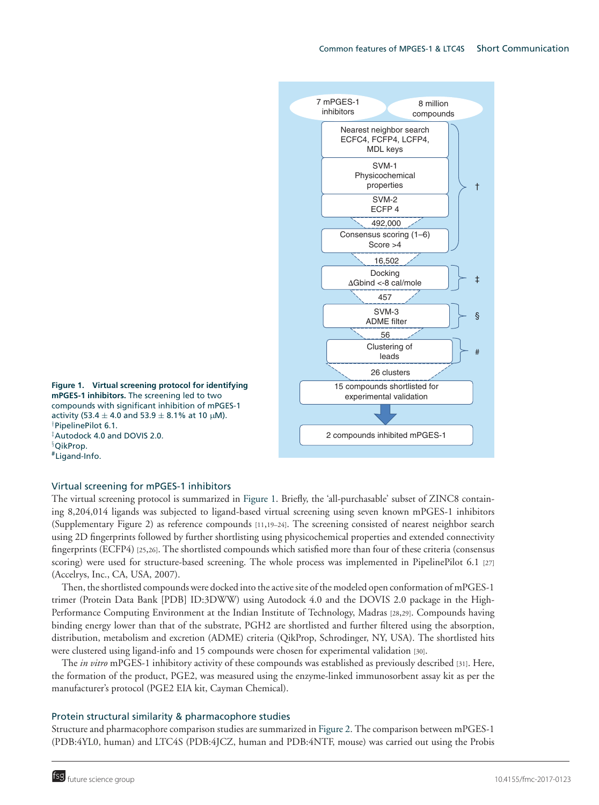

**mPGES-1 inhibitors.** The screening led to two compounds with significant inhibition of mPGES-1 activity (53.4  $\pm$  4.0 and 53.9  $\pm$  8.1% at 10 µM). †PipelinePilot 6.1. ‡Autodock 4.0 and DOVIS 2.0. §QikProp. #Ligand-Info.

# Virtual screening for mPGES-1 inhibitors

The virtual screening protocol is summarized in Figure 1. Briefly, the 'all-purchasable' subset of ZINC8 containing 8,204,014 ligands was subjected to ligand-based virtual screening using seven known mPGES-1 inhibitors (Supplementary Figure 2) as reference compounds [11,19–24]. The screening consisted of nearest neighbor search using 2D fingerprints followed by further shortlisting using physicochemical properties and extended connectivity fingerprints (ECFP4) [25,26]. The shortlisted compounds which satisfied more than four of these criteria (consensus scoring) were used for structure-based screening. The whole process was implemented in PipelinePilot 6.1 [27] (Accelrys, Inc., CA, USA, 2007).

Then, the shortlisted compounds were docked into the active site of the modeled open conformation of mPGES-1 trimer (Protein Data Bank [PDB] ID:3DWW) using Autodock 4.0 and the DOVIS 2.0 package in the High-Performance Computing Environment at the Indian Institute of Technology, Madras [28,29]. Compounds having binding energy lower than that of the substrate, PGH2 are shortlisted and further filtered using the absorption, distribution, metabolism and excretion (ADME) criteria (QikProp, Schrodinger, NY, USA). The shortlisted hits were clustered using ligand-info and 15 compounds were chosen for experimental validation [30].

The *in vitro* mPGES-1 inhibitory activity of these compounds was established as previously described [31]. Here, the formation of the product, PGE2, was measured using the enzyme-linked immunosorbent assay kit as per the manufacturer's protocol (PGE2 EIA kit, Cayman Chemical).

# Protein structural similarity & pharmacophore studies

Structure and pharmacophore comparison studies are summarized in Figure 2. The comparison between mPGES-1 (PDB:4YL0, human) and LTC4S (PDB:4JCZ, human and PDB:4NTF, mouse) was carried out using the Probis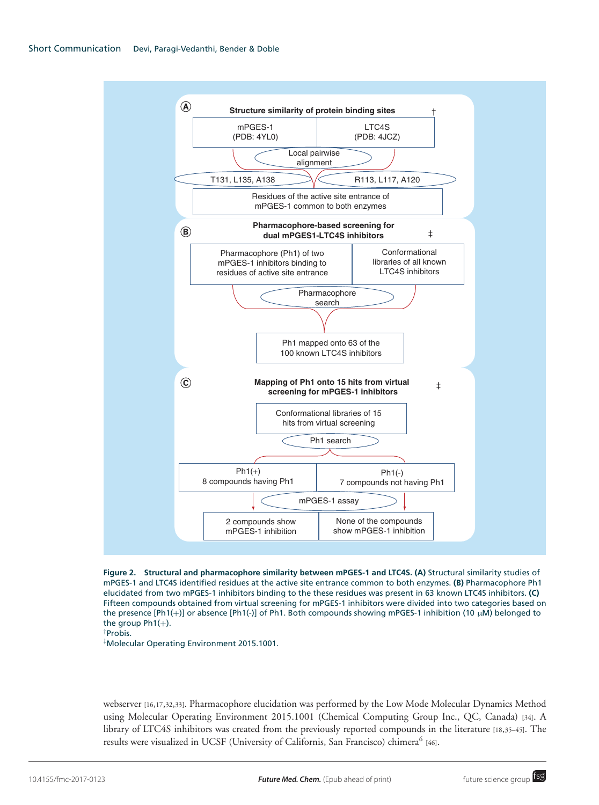

**Figure 2. Structural and pharmacophore similarity between mPGES-1 and LTC4S. (A)** Structural similarity studies of mPGES-1 and LTC4S identified residues at the active site entrance common to both enzymes. **(B)** Pharmacophore Ph1 elucidated from two mPGES-1 inhibitors binding to the these residues was present in 63 known LTC4S inhibitors. **(C)** Fifteen compounds obtained from virtual screening for mPGES-1 inhibitors were divided into two categories based on the presence [Ph1(+)] or absence [Ph1(-)] of Ph1. Both compounds showing mPGES-1 inhibition (10 µM) belonged to the group  $Ph1(+)$ .

# †Probis.

‡Molecular Operating Environment 2015.1001.

webserver [16,17,32,33]. Pharmacophore elucidation was performed by the Low Mode Molecular Dynamics Method using Molecular Operating Environment 2015.1001 (Chemical Computing Group Inc., QC, Canada) [34]. A library of LTC4S inhibitors was created from the previously reported compounds in the literature [18,35–45]. The results were visualized in UCSF (University of Californis, San Francisco) chimera<sup>6</sup> [46].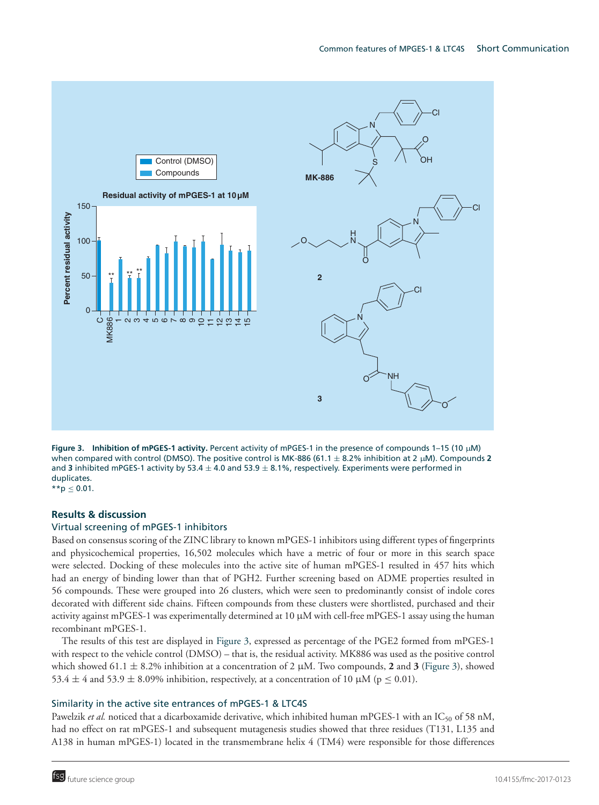

**Figure 3. Inhibition of mPGES-1 activity.** Percent activity of mPGES-1 in the presence of compounds 1–15 (10 µM) when compared with control (DMSO). The positive control is MK-886 (61.1 ± 8.2% inhibition at 2 µM). Compounds **2** and **3** inhibited mPGES-1 activity by 53.4  $\pm$  4.0 and 53.9  $\pm$  8.1%, respectively. Experiments were performed in duplicates.

 $*$ \*p < 0.01.

# **Results & discussion**

# Virtual screening of mPGES-1 inhibitors

Based on consensus scoring of the ZINC library to known mPGES-1 inhibitors using different types of fingerprints and physicochemical properties, 16,502 molecules which have a metric of four or more in this search space were selected. Docking of these molecules into the active site of human mPGES-1 resulted in 457 hits which had an energy of binding lower than that of PGH2. Further screening based on ADME properties resulted in 56 compounds. These were grouped into 26 clusters, which were seen to predominantly consist of indole cores decorated with different side chains. Fifteen compounds from these clusters were shortlisted, purchased and their activity against mPGES-1 was experimentally determined at 10 µM with cell-free mPGES-1 assay using the human recombinant mPGES-1.

The results of this test are displayed in Figure 3, expressed as percentage of the PGE2 formed from mPGES-1 with respect to the vehicle control (DMSO) – that is, the residual activity. MK886 was used as the positive control which showed 61.1  $\pm$  8.2% inhibition at a concentration of 2  $\mu$ M. Two compounds, 2 and 3 (Figure 3), showed 53.4  $\pm$  4 and 53.9  $\pm$  8.09% inhibition, respectively, at a concentration of 10  $\mu$ M ( $p \le 0.01$ ).

# Similarity in the active site entrances of mPGES-1 & LTC4S

Pawelzik *et al.* noticed that a dicarboxamide derivative, which inhibited human mPGES-1 with an IC<sub>50</sub> of 58 nM, had no effect on rat mPGES-1 and subsequent mutagenesis studies showed that three residues (T131, L135 and A138 in human mPGES-1) located in the transmembrane helix 4 (TM4) were responsible for those differences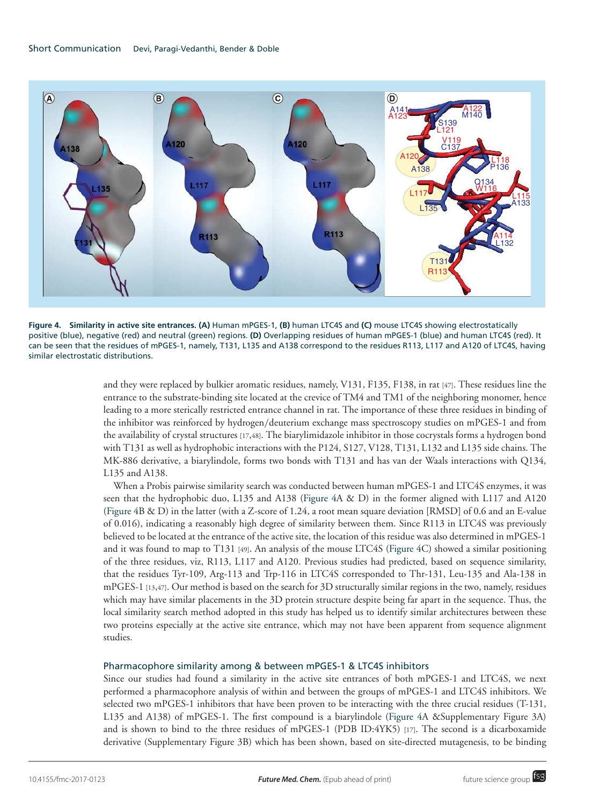

**Figure 4. Similarity in active site entrances. (A)** Human mPGES-1, **(B)** human LTC4S and **(C)** mouse LTC4S showing electrostatically positive (blue), negative (red) and neutral (green) regions. **(D)** Overlapping residues of human mPGES-1 (blue) and human LTC4S (red). It can be seen that the residues of mPGES-1, namely, T131, L135 and A138 correspond to the residues R113, L117 and A120 of LTC4S, having similar electrostatic distributions.

and they were replaced by bulkier aromatic residues, namely, V131, F135, F138, in rat [47]. These residues line the entrance to the substrate-binding site located at the crevice of TM4 and TM1 of the neighboring monomer, hence leading to a more sterically restricted entrance channel in rat. The importance of these three residues in binding of the inhibitor was reinforced by hydrogen/deuterium exchange mass spectroscopy studies on mPGES-1 and from the availability of crystal structures [17,48]. The biarylimidazole inhibitor in those cocrystals forms a hydrogen bond with T131 as well as hydrophobic interactions with the P124, S127, V128, T131, L132 and L135 side chains. The MK-886 derivative, a biarylindole, forms two bonds with T131 and has van der Waals interactions with Q134, L135 and A138.

When a Probis pairwise similarity search was conducted between human mPGES-1 and LTC4S enzymes, it was seen that the hydrophobic duo, L135 and A138 (Figure 4A & D) in the former aligned with L117 and A120 (Figure 4B & D) in the latter (with a Z-score of 1.24, a root mean square deviation [RMSD] of 0.6 and an E-value of 0.016), indicating a reasonably high degree of similarity between them. Since R113 in LTC4S was previously believed to be located at the entrance of the active site, the location of this residue was also determined in mPGES-1 and it was found to map to T131 [49]. An analysis of the mouse LTC4S (Figure 4C) showed a similar positioning of the three residues, viz, R113, L117 and A120. Previous studies had predicted, based on sequence similarity, that the residues Tyr-109, Arg-113 and Trp-116 in LTC4S corresponded to Thr-131, Leu-135 and Ala-138 in mPGES-1 [13,47]. Our method is based on the search for 3D structurally similar regions in the two, namely, residues which may have similar placements in the 3D protein structure despite being far apart in the sequence. Thus, the local similarity search method adopted in this study has helped us to identify similar architectures between these two proteins especially at the active site entrance, which may not have been apparent from sequence alignment studies.

# Pharmacophore similarity among & between mPGES-1 & LTC4S inhibitors

Since our studies had found a similarity in the active site entrances of both mPGES-1 and LTC4S, we next performed a pharmacophore analysis of within and between the groups of mPGES-1 and LTC4S inhibitors. We selected two mPGES-1 inhibitors that have been proven to be interacting with the three crucial residues (T-131, L135 and A138) of mPGES-1. The first compound is a biarylindole (Figure 4A &Supplementary Figure 3A) and is shown to bind to the three residues of mPGES-1 (PDB ID:4YK5) [17]. The second is a dicarboxamide derivative (Supplementary Figure 3B) which has been shown, based on site-directed mutagenesis, to be binding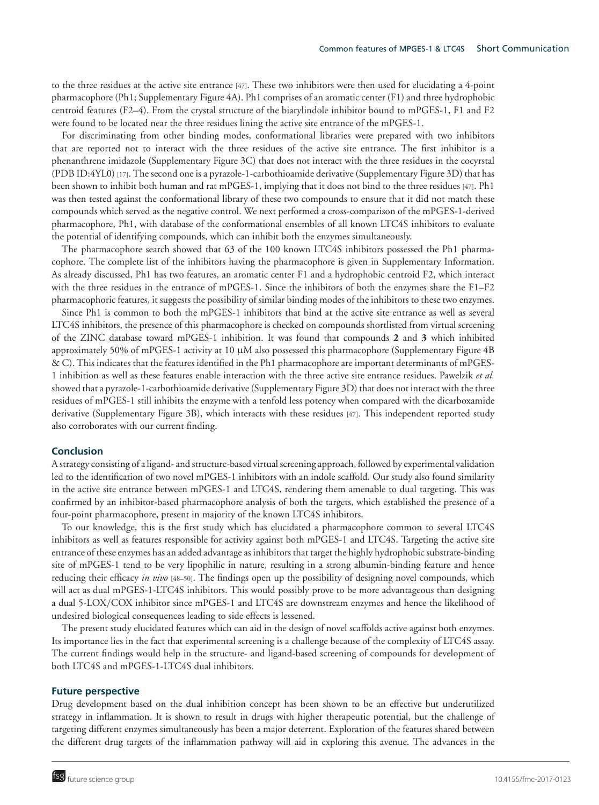to the three residues at the active site entrance [47]. These two inhibitors were then used for elucidating a 4-point pharmacophore (Ph1; Supplementary Figure 4A). Ph1 comprises of an aromatic center (F1) and three hydrophobic centroid features (F2–4). From the crystal structure of the biarylindole inhibitor bound to mPGES-1, F1 and F2 were found to be located near the three residues lining the active site entrance of the mPGES-1.

For discriminating from other binding modes, conformational libraries were prepared with two inhibitors that are reported not to interact with the three residues of the active site entrance. The first inhibitor is a phenanthrene imidazole (Supplementary Figure 3C) that does not interact with the three residues in the cocyrstal (PDB ID:4YL0) [17]. The second one is a pyrazole-1-carbothioamide derivative (Supplementary Figure 3D) that has been shown to inhibit both human and rat mPGES-1, implying that it does not bind to the three residues [47]. Ph1 was then tested against the conformational library of these two compounds to ensure that it did not match these compounds which served as the negative control. We next performed a cross-comparison of the mPGES-1-derived pharmacophore, Ph1, with database of the conformational ensembles of all known LTC4S inhibitors to evaluate the potential of identifying compounds, which can inhibit both the enzymes simultaneously.

The pharmacophore search showed that 63 of the 100 known LTC4S inhibitors possessed the Ph1 pharmacophore. The complete list of the inhibitors having the pharmacophore is given in Supplementary Information. As already discussed, Ph1 has two features, an aromatic center F1 and a hydrophobic centroid F2, which interact with the three residues in the entrance of mPGES-1. Since the inhibitors of both the enzymes share the F1–F2 pharmacophoric features, it suggests the possibility of similar binding modes of the inhibitors to these two enzymes.

Since Ph1 is common to both the mPGES-1 inhibitors that bind at the active site entrance as well as several LTC4S inhibitors, the presence of this pharmacophore is checked on compounds shortlisted from virtual screening of the ZINC database toward mPGES-1 inhibition. It was found that compounds **2** and **3** which inhibited approximately 50% of mPGES-1 activity at 10 µM also possessed this pharmacophore (Supplementary Figure 4B & C). This indicates that the features identified in the Ph1 pharmacophore are important determinants of mPGES-1 inhibition as well as these features enable interaction with the three active site entrance residues. Pawelzik *et al.* showed that a pyrazole-1-carbothioamide derivative (Supplementary Figure 3D) that does not interact with the three residues of mPGES-1 still inhibits the enzyme with a tenfold less potency when compared with the dicarboxamide derivative (Supplementary Figure 3B), which interacts with these residues [47]. This independent reported study also corroborates with our current finding.

#### **Conclusion**

A strategy consisting of a ligand- and structure-based virtual screening approach, followed by experimental validation led to the identification of two novel mPGES-1 inhibitors with an indole scaffold. Our study also found similarity in the active site entrance between mPGES-1 and LTC4S, rendering them amenable to dual targeting. This was confirmed by an inhibitor-based pharmacophore analysis of both the targets, which established the presence of a four-point pharmacophore, present in majority of the known LTC4S inhibitors.

To our knowledge, this is the first study which has elucidated a pharmacophore common to several LTC4S inhibitors as well as features responsible for activity against both mPGES-1 and LTC4S. Targeting the active site entrance of these enzymes has an added advantage as inhibitors that target the highly hydrophobic substrate-binding site of mPGES-1 tend to be very lipophilic in nature, resulting in a strong albumin-binding feature and hence reducing their efficacy *in vivo* [48–50]. The findings open up the possibility of designing novel compounds, which will act as dual mPGES-1-LTC4S inhibitors. This would possibly prove to be more advantageous than designing a dual 5-LOX/COX inhibitor since mPGES-1 and LTC4S are downstream enzymes and hence the likelihood of undesired biological consequences leading to side effects is lessened.

The present study elucidated features which can aid in the design of novel scaffolds active against both enzymes. Its importance lies in the fact that experimental screening is a challenge because of the complexity of LTC4S assay. The current findings would help in the structure- and ligand-based screening of compounds for development of both LTC4S and mPGES-1-LTC4S dual inhibitors.

#### **Future perspective**

Drug development based on the dual inhibition concept has been shown to be an effective but underutilized strategy in inflammation. It is shown to result in drugs with higher therapeutic potential, but the challenge of targeting different enzymes simultaneously has been a major deterrent. Exploration of the features shared between the different drug targets of the inflammation pathway will aid in exploring this avenue. The advances in the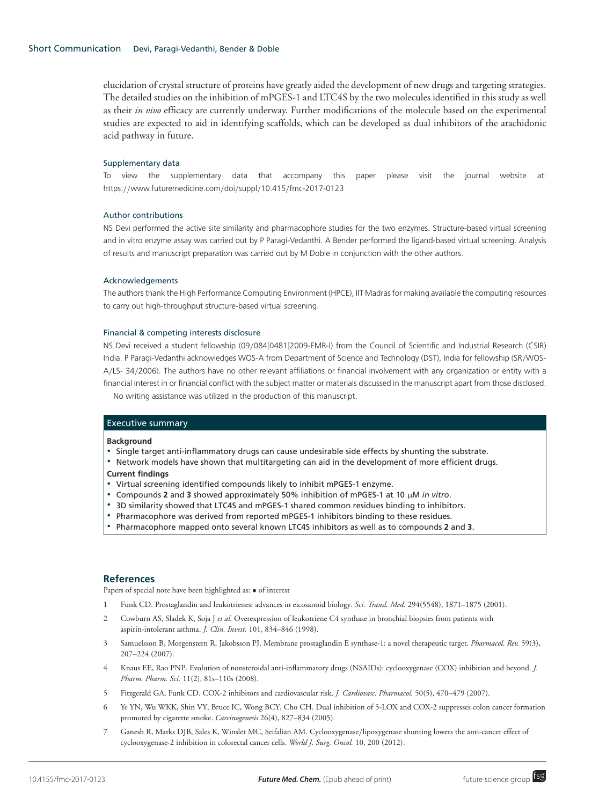elucidation of crystal structure of proteins have greatly aided the development of new drugs and targeting strategies. The detailed studies on the inhibition of mPGES-1 and LTC4S by the two molecules identified in this study as well as their *in vivo* efficacy are currently underway. Further modifications of the molecule based on the experimental studies are expected to aid in identifying scaffolds, which can be developed as dual inhibitors of the arachidonic acid pathway in future.

#### Supplementary data

To view the supplementary data that accompany this paper please visit the journal website at: https://www.futuremedicine.com/doi/suppl/10.415/fmc-2017-0123

#### Author contributions

NS Devi performed the active site similarity and pharmacophore studies for the two enzymes. Structure-based virtual screening and in vitro enzyme assay was carried out by P Paragi-Vedanthi. A Bender performed the ligand-based virtual screening. Analysis of results and manuscript preparation was carried out by M Doble in conjunction with the other authors.

#### Acknowledgements

The authors thank the High Performance Computing Environment (HPCE), IIT Madras for making available the computing resources to carry out high-throughput structure-based virtual screening.

#### Financial & competing interests disclosure

NS Devi received a student fellowship (09/084[0481]2009-EMR-I) from the Council of Scientific and Industrial Research (CSIR) India. P Paragi-Vedanthi acknowledges WOS-A from Department of Science and Technology (DST), India for fellowship (SR/WOS-A/LS- 34/2006). The authors have no other relevant affiliations or financial involvement with any organization or entity with a financial interest in or financial conflict with the subject matter or materials discussed in the manuscript apart from those disclosed.

No writing assistance was utilized in the production of this manuscript.

#### Executive summary

#### **Background**

- Single target anti-inflammatory drugs can cause undesirable side effects by shunting the substrate.
- Network models have shown that multitargeting can aid in the development of more efficient drugs.

#### **Current findings**

- Virtual screening identified compounds likely to inhibit mPGES-1 enzyme.
- Compounds **2** and **3** showed approximately 50% inhibition of mPGES-1 at 10 µM *in vitro*.
- **3D similarity showed that LTC4S and mPGES-1 shared common residues binding to inhibitors.**
- **Pharmacophore was derived from reported mPGES-1 inhibitors binding to these residues.**
- -Pharmacophore mapped onto several known LTC4S inhibitors as well as to compounds **2** and **3**.

# **References**

Papers of special note have been highlighted as: • of interest

- 1 Funk CD. Prostaglandin and leukotrienes: advances in eicosanoid biology. *Sci. Transl. Med.* 294(5548), 1871–1875 (2001).
- 2 Cowburn AS, Sladek K, Soja J *et al.* Overexpression of leukotriene C4 synthase in bronchial biopsies from patients with aspirin-intolerant asthma. *J. Clin. Invest.* 101, 834–846 (1998).
- 3 Samuelsson B, Morgenstern R, Jakobsson PJ. Membrane prostaglandin E synthase-1: a novel therapeutic target. *Pharmacol. Rev.* 59(3), 207–224 (2007).
- 4 Knaus EE, Rao PNP. Evolution of nonsteroidal anti-inflammatory drugs (NSAIDs): cyclooxygenase (COX) inhibition and beyond. *J. Pharm. Pharm. Sci.* 11(2), 81s–110s (2008).
- 5 Fitzgerald GA, Funk CD. COX-2 inhibitors and cardiovascular risk. *J. Cardiovasc. Pharmacol.* 50(5), 470–479 (2007).
- 6 Ye YN, Wu WKK, Shin VY, Bruce IC, Wong BCY, Cho CH. Dual inhibition of 5-LOX and COX-2 suppresses colon cancer formation promoted by cigarette smoke. *Carcinogenesis* 26(4), 827–834 (2005).
- 7 Ganesh R, Marks DJB, Sales K, Winslet MC, Seifalian AM. Cyclooxygenase/lipoxygenase shunting lowers the anti-cancer effect of cyclooxygenase-2 inhibition in colorectal cancer cells. *World J. Surg. Oncol.* 10, 200 (2012).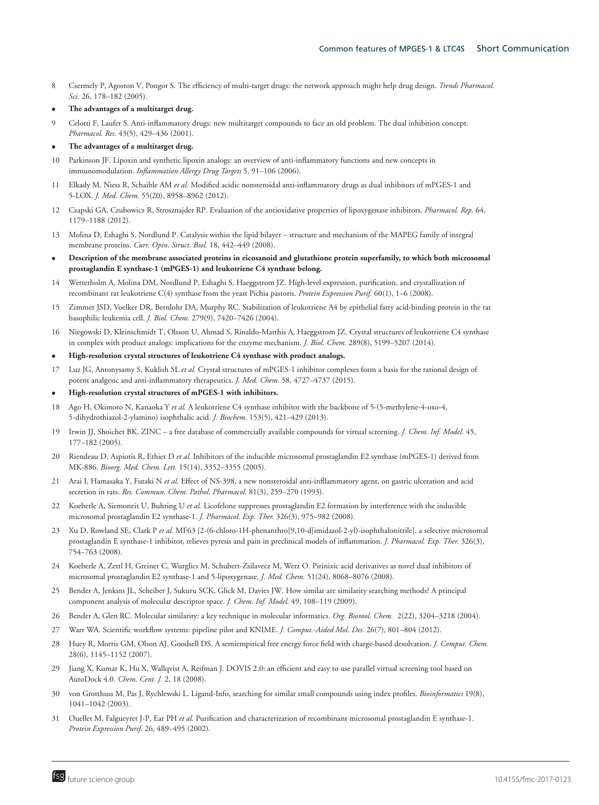- 8 Csermely P, Agoston V, Pongor S. The efficiency of multi-target drugs: the network approach might help drug design. *Trends Pharmacol. Sci.* 26, 178–182 (2005).
- **The advantages of a multitarget drug.**
- 9 Celotti F, Laufer S. Anti-inflammatory drugs: new multitarget compounds to face an old problem. The dual inhibition concept. *Pharmacol. Res.* 43(5), 429–436 (2001).
- **The advantages of a multitarget drug.**
- 10 Parkinson JF. Lipoxin and synthetic lipoxin analogs: an overview of anti-inflammatory functions and new concepts in immunomodulation. *Inflammation Allergy Drug Targets* 5, 91–106 (2006).
- 11 Elkady M, Niess R, Schaible AM *et al.* Modified acidic nonsteroidal anti-inflammatory drugs as dual inhibitors of mPGES-1 and 5-LOX. *J. Med. Chem.* 55(20), 8958–8962 (2012).
- 12 Czapski GA, Czubowicz R, Strosznajder RP. Evaluation of the antioxidative properties of lipoxygenase inhibitors. *Pharmacol. Rep.* 64, 1179–1188 (2012).
- 13 Molina D, Eshaghi S, Nordlund P. Catalysis within the lipid bilayer structure and mechanism of the MAPEG family of integral membrane proteins. *Curr. Opin. Struct. Biol.* 18, 442–449 (2008).
- **Description of the membrane associated proteins in eicosanoid and glutathione protein superfamily, to which both microsomal prostaglandin E synthase-1 (mPGES-1) and leukotriene C4 synthase belong.**
- 14 Wetterholm A, Molina DM, Nordlund P, Eshaghi S, Haeggstrom JZ. High-level expression, purification, and crystallization of recombinant rat leukotriene C(4) synthase from the yeast Pichia pastoris. *Protein Expression Purif.* 60(1), 1–6 (2008).
- 15 Zimmer JSD, Voelker DR, Bernlohr DA, Murphy RC. Stabilization of leukotriene A4 by epithelial fatty acid-binding protein in the rat basophilic leukemia cell. *J. Biol. Chem.* 279(9), 7420–7426 (2004).
- 16 Niegowski D, Kleinschmidt T, Olsson U, Ahmad S, Rinaldo-Matthis A, Haeggstrom JZ. Crystal structures of leukotriene C4 synthase in complex with product analogs: implications for the enzyme mechanism. *J. Biol. Chem.* 289(8), 5199–5207 (2014).
- **High-resolution crystal structures of leukotriene C4 synthase with product analogs.**
- 17 Luz JG, Antonysamy S, Kuklish SL *et al.* Crystal structures of mPGES-1 inhibitor complexes form a basis for the rational design of potent analgesic and anti-inflammatory therapeutics. *J. Med. Chem.* 58, 4727–4737 (2015).
- **High-resolution crystal structures of mPGES-1 with inhibitors.**
- 18 Ago H, Okimoto N, Kanaoka Y *et al.* A leukotriene C4 synthase inhibitor with the backbone of 5-(5-methylene-4-oxo-4, 5-dihydrothiazol-2-ylamino) isophthalic acid. *J. Biochem.* 153(5), 421–429 (2013).
- 19 Irwin JJ, Shoichet BK. ZINC a free database of commercially available compounds for virtual screening. *J. Chem. Inf. Model.* 45, 177–182 (2005).
- 20 Riendeau D, Aspiotis R, Ethier D *et al.* Inhibitors of the inducible microsomal prostaglandin E2 synthase (mPGES-1) derived from MK-886. *Bioorg. Med. Chem. Lett.* 15(14), 3352–3355 (2005).
- 21 Arai I, Hamasaka Y, Futaki N *et al.* Effect of NS-398, a new nonsteroidal anti-infllammatory agent, on gastric ulceration and acid secretion in rats. *Res. Commun. Chem. Pathol. Pharmacol.* 81(3), 259–270 (1993).
- 22 Koeberle A, Siemoneit U, Buhring U *et al.* Licofelone suppresses prostaglandin E2 formation by interference with the inducible microsomal prostaglandin E2 synthase-1. *J. Pharmacol. Exp. Ther.* 326(3), 975–982 (2008).
- 23 Xu D, Rowland SE, Clark P *et al.* MF63 [2-(6-chloro-1H-phenanthro[9,10-d]imidazol-2-yl)-isophthalonitrile], a selective microsomal prostaglandin E synthase-1 inhibitor, relieves pyresis and pain in preclinical models of inflammation. *J. Pharmacol. Exp. Ther.* 326(3), 754–763 (2008).
- 24 Koeberle A, Zettl H, Greiner C, Wurglics M, Schubert-Zsilavecz M, Werz O. Pirinixic acid derivatives as novel dual inhibitors of microsomal prostaglandin E2 synthase-1 and 5-lipoxygenase. *J. Med. Chem.* 51(24), 8068–8076 (2008).
- 25 Bender A, Jenkins JL, Scheiber J, Sukuru SCK, Glick M, Davies JW. How similar are similarity searching methods? A principal component analysis of molecular descriptor space. *J. Chem. Inf. Model.* 49, 108–119 (2009).
- 26 Bender A, Glen RC. Molecular similarity: a key technique in molecular informatics. *Org. Biomol. Chem.* 2(22), 3204–3218 (2004).
- 27 Warr WA. Scientific workflow systems: pipeline pilot and KNIME. *J. Comput.-Aided Mol. Des.* 26(7), 801–804 (2012).
- 28 Huey R, Morris GM, Olson AJ, Goodsell DS. A semiempirical free energy force field with charge-based desolvation. *J. Comput. Chem.* 28(6), 1145–1152 (2007).
- 29 Jiang X, Kumar K, Hu X, Wallqvist A, Reifman J. DOVIS 2.0: an efficient and easy to use parallel virtual screening tool based on AutoDock 4.0. *Chem. Cent. J.* 2, 18 (2008).
- 30 von Grotthuss M, Pas J, Rychlewski L. Ligand-Info, searching for similar small compounds using index profiles. *Bioinformatics* 19(8), 1041–1042 (2003).
- 31 Ouellet M, Falgueyret J-P, Ear PH *et al.* Purification and characterization of recombinant microsomal prostaglandin E synthase-1. *Protein Expression Purif.* 26, 489–495 (2002).